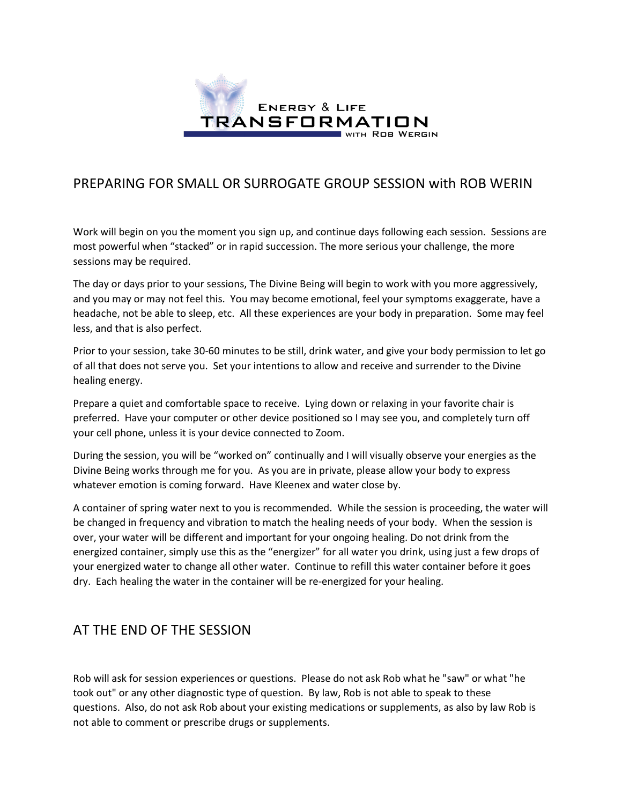

## PREPARING FOR SMALL OR SURROGATE GROUP SESSION with ROB WERIN

Work will begin on you the moment you sign up, and continue days following each session. Sessions are most powerful when "stacked" or in rapid succession. The more serious your challenge, the more sessions may be required.

The day or days prior to your sessions, The Divine Being will begin to work with you more aggressively, and you may or may not feel this. You may become emotional, feel your symptoms exaggerate, have a headache, not be able to sleep, etc. All these experiences are your body in preparation. Some may feel less, and that is also perfect.

Prior to your session, take 30-60 minutes to be still, drink water, and give your body permission to let go of all that does not serve you. Set your intentions to allow and receive and surrender to the Divine healing energy.

Prepare a quiet and comfortable space to receive. Lying down or relaxing in your favorite chair is preferred. Have your computer or other device positioned so I may see you, and completely turn off your cell phone, unless it is your device connected to Zoom.

During the session, you will be "worked on" continually and I will visually observe your energies as the Divine Being works through me for you. As you are in private, please allow your body to express whatever emotion is coming forward. Have Kleenex and water close by.

A container of spring water next to you is recommended. While the session is proceeding, the water will be changed in frequency and vibration to match the healing needs of your body. When the session is over, your water will be different and important for your ongoing healing. Do not drink from the energized container, simply use this as the "energizer" for all water you drink, using just a few drops of your energized water to change all other water. Continue to refill this water container before it goes dry. Each healing the water in the container will be re-energized for your healing.

## AT THE END OF THE SESSION

Rob will ask for session experiences or questions. Please do not ask Rob what he "saw" or what "he took out" or any other diagnostic type of question. By law, Rob is not able to speak to these questions. Also, do not ask Rob about your existing medications or supplements, as also by law Rob is not able to comment or prescribe drugs or supplements.